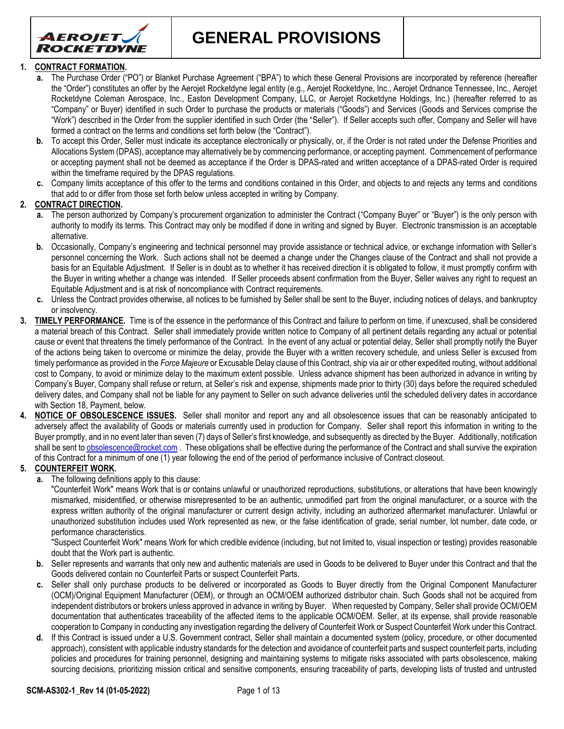

**GENERAL PROVISIONS**

### **1. CONTRACT FORMATION.**

- **a.** The Purchase Order ("PO") or Blanket Purchase Agreement ("BPA") to which these General Provisions are incorporated by reference (hereafter the "Order") constitutes an offer by the Aerojet Rocketdyne legal entity (e.g., Aerojet Rocketdyne, Inc., Aerojet Ordnance Tennessee, Inc., Aerojet Rocketdyne Coleman Aerospace, Inc., Easton Development Company, LLC, or Aerojet Rocketdyne Holdings, Inc.) (hereafter referred to as "Company" or Buyer) identified in such Order to purchase the products or materials ("Goods") and Services (Goods and Services comprise the "Work") described in the Order from the supplier identified in such Order (the "Seller"). If Seller accepts such offer, Company and Seller will have formed a contract on the terms and conditions set forth below (the "Contract").
- **b.** To accept this Order, Seller must indicate its acceptance electronically or physically, or, if the Order is not rated under the Defense Priorities and Allocations System (DPAS), acceptance may alternatively be by commencing performance, or accepting payment. Commencement of performance or accepting payment shall not be deemed as acceptance if the Order is DPAS-rated and written acceptance of a DPAS-rated Order is required within the timeframe required by the DPAS regulations.
- **c.** Company limits acceptance of this offer to the terms and conditions contained in this Order, and objects to and rejects any terms and conditions that add to or differ from those set forth below unless accepted in writing by Company.

## **2. CONTRACT DIRECTION.**

- **a.** The person authorized by Company's procurement organization to administer the Contract ("Company Buyer" or "Buyer") is the only person with authority to modify its terms. This Contract may only be modified if done in writing and signed by Buyer. Electronic transmission is an acceptable alternative.
- **b.** Occasionally, Company's engineering and technical personnel may provide assistance or technical advice, or exchange information with Seller's personnel concerning the Work. Such actions shall not be deemed a change under the Changes clause of the Contract and shall not provide a basis for an Equitable Adjustment. If Seller is in doubt as to whether it has received direction it is obligated to follow, it must promptly confirm with the Buyer in writing whether a change was intended. If Seller proceeds absent confirmation from the Buyer, Seller waives any right to request an Equitable Adjustment and is at risk of noncompliance with Contract requirements.
- **c.** Unless the Contract provides otherwise, all notices to be furnished by Seller shall be sent to the Buyer, including notices of delays, and bankruptcy or insolvency.
- **3. TIMELY PERFORMANCE.** Time is of the essence in the performance of this Contract and failure to perform on time, if unexcused, shall be considered a material breach of this Contract. Seller shall immediately provide written notice to Company of all pertinent details regarding any actual or potential cause or event that threatens the timely performance of the Contract. In the event of any actual or potential delay, Seller shall promptly notify the Buyer of the actions being taken to overcome or minimize the delay, provide the Buyer with a written recovery schedule, and unless Seller is excused from timely performance as provided in the *Force Majeure* or Excusable Delay clause of this Contract, ship via air or other expedited routing, without additional cost to Company, to avoid or minimize delay to the maximum extent possible. Unless advance shipment has been authorized in advance in writing by Company's Buyer, Company shall refuse or return, at Seller's risk and expense, shipments made prior to thirty (30) days before the required scheduled delivery dates, and Company shall not be liable for any payment to Seller on such advance deliveries until the scheduled delivery dates in accordance with Section 18, Payment, below.
- **4. NOTICE OF OBSOLESCENCE ISSUES.** Seller shall monitor and report any and all obsolescence issues that can be reasonably anticipated to adversely affect the availability of Goods or materials currently used in production for Company. Seller shall report this information in writing to the Buyer promptly, and in no event later than seven (7) days of Seller's first knowledge, and subsequently as directed by the Buyer. Additionally, notification shall be sent t[o obsolescence@rocket.com](mailto:obsolescence@rocket.com). These obligations shall be effective during the performance of the Contract and shall survive the expiration of this Contract for a minimum of one (1) year following the end of the period of performance inclusive of Contract closeout.

### **5. COUNTERFEIT WORK.**

**a.** The following definitions apply to this clause:

"Counterfeit Work" means Work that is or contains unlawful or unauthorized reproductions, substitutions, or alterations that have been knowingly mismarked, misidentified, or otherwise misrepresented to be an authentic, unmodified part from the original manufacturer, or a source with the express written authority of the original manufacturer or current design activity, including an authorized aftermarket manufacturer. Unlawful or unauthorized substitution includes used Work represented as new, or the false identification of grade, serial number, lot number, date code, or performance characteristics.

"Suspect Counterfeit Work" means Work for which credible evidence (including, but not limited to, visual inspection or testing) provides reasonable doubt that the Work part is authentic.

- **b.** Seller represents and warrants that only new and authentic materials are used in Goods to be delivered to Buyer under this Contract and that the Goods delivered contain no Counterfeit Parts or suspect Counterfeit Parts.
- Seller shall only purchase products to be delivered or incorporated as Goods to Buyer directly from the Original Component Manufacturer (OCM)/Original Equipment Manufacturer (OEM), or through an OCM/OEM authorized distributor chain. Such Goods shall not be acquired from independent distributors or brokers unless approved in advance in writing by Buyer. When requested by Company, Seller shall provide OCM/OEM documentation that authenticates traceability of the affected items to the applicable OCM/OEM. Seller, at its expense, shall provide reasonable cooperation to Company in conducting any investigation regarding the delivery of Counterfeit Work or Suspect Counterfeit Work under this Contract.
- **d.** If this Contract is issued under a U.S. Government contract, Seller shall maintain a documented system (policy, procedure, or other documented approach), consistent with applicable industry standards for the detection and avoidance of counterfeit parts and suspect counterfeit parts, including policies and procedures for training personnel, designing and maintaining systems to mitigate risks associated with parts obsolescence, making sourcing decisions, prioritizing mission critical and sensitive components, ensuring traceability of parts, developing lists of trusted and untrusted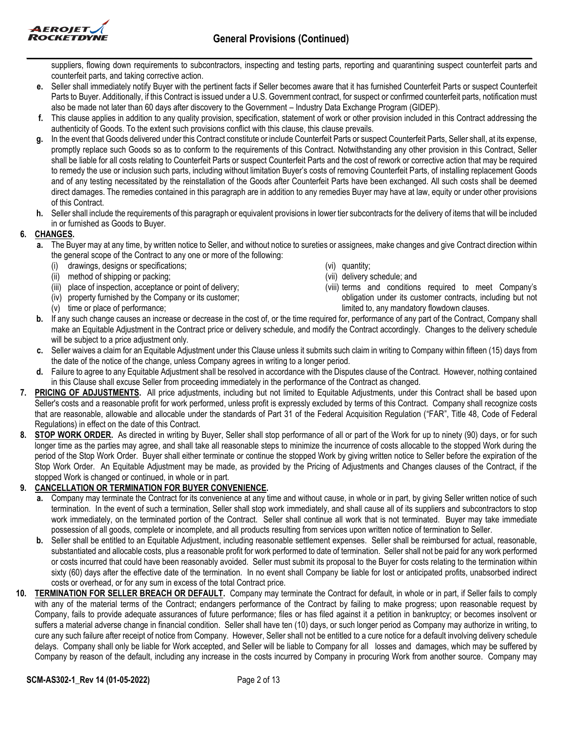

suppliers, flowing down requirements to subcontractors, inspecting and testing parts, reporting and quarantining suspect counterfeit parts and counterfeit parts, and taking corrective action.

- **e.** Seller shall immediately notify Buyer with the pertinent facts if Seller becomes aware that it has furnished Counterfeit Parts or suspect Counterfeit Parts to Buyer. Additionally, if this Contract is issued under a U.S. Government contract, for suspect or confirmed counterfeit parts, notification must also be made not later than 60 days after discovery to the Government – Industry Data Exchange Program (GIDEP).
- **f.** This clause applies in addition to any quality provision, specification, statement of work or other provision included in this Contract addressing the authenticity of Goods. To the extent such provisions conflict with this clause, this clause prevails.
- **g.** In the event that Goods delivered under this Contract constitute or include Counterfeit Parts or suspect Counterfeit Parts, Seller shall, at its expense, promptly replace such Goods so as to conform to the requirements of this Contract. Notwithstanding any other provision in this Contract, Seller shall be liable for all costs relating to Counterfeit Parts or suspect Counterfeit Parts and the cost of rework or corrective action that may be required to remedy the use or inclusion such parts, including without limitation Buyer's costs of removing Counterfeit Parts, of installing replacement Goods and of any testing necessitated by the reinstallation of the Goods after Counterfeit Parts have been exchanged. All such costs shall be deemed direct damages. The remedies contained in this paragraph are in addition to any remedies Buyer may have at law, equity or under other provisions of this Contract.
- **h.** Seller shall include the requirements of this paragraph or equivalent provisions in lower tier subcontracts for the delivery of items that will be included in or furnished as Goods to Buyer.

## **6. CHANGES.**

- **a.** The Buyer may at any time, by written notice to Seller, and without notice to sureties or assignees, make changes and give Contract direction within the general scope of the Contract to any one or more of the following:
	- (i) drawings, designs or specifications;
	- (ii) method of shipping or packing;
	- (iii) place of inspection, acceptance or point of delivery;
	- (iv) property furnished by the Company or its customer;
	- (v) time or place of performance;
- (vi) quantity;
- (vii) delivery schedule; and
- (viii) terms and conditions required to meet Company's obligation under its customer contracts, including but not limited to, any mandatory flowdown clauses.
- **b.** If any such change causes an increase or decrease in the cost of, or the time required for, performance of any part of the Contract, Company shall make an Equitable Adjustment in the Contract price or delivery schedule, and modify the Contract accordingly. Changes to the delivery schedule will be subject to a price adjustment only.
- **c.** Seller waives a claim for an Equitable Adjustment under this Clause unless it submits such claim in writing to Company within fifteen (15) days from the date of the notice of the change, unless Company agrees in writing to a longer period.
- **d.** Failure to agree to any Equitable Adjustment shall be resolved in accordance with the Disputes clause of the Contract. However, nothing contained in this Clause shall excuse Seller from proceeding immediately in the performance of the Contract as changed.
- **7. PRICING OF ADJUSTMENTS.** All price adjustments, including but not limited to Equitable Adjustments, under this Contract shall be based upon Seller's costs and a reasonable profit for work performed, unless profit is expressly excluded by terms of this Contract. Company shall recognize costs that are reasonable, allowable and allocable under the standards of Part 31 of the Federal Acquisition Regulation ("FAR", Title 48, Code of Federal Regulations) in effect on the date of this Contract.
- **8. STOP WORK ORDER.** As directed in writing by Buyer, Seller shall stop performance of all or part of the Work for up to ninety (90) days, or for such longer time as the parties may agree, and shall take all reasonable steps to minimize the incurrence of costs allocable to the stopped Work during the period of the Stop Work Order. Buyer shall either terminate or continue the stopped Work by giving written notice to Seller before the expiration of the Stop Work Order. An Equitable Adjustment may be made, as provided by the Pricing of Adjustments and Changes clauses of the Contract, if the stopped Work is changed or continued, in whole or in part.

## **9. CANCELLATION OR TERMINATION FOR BUYER CONVENIENCE.**

- **a.** Company may terminate the Contract for its convenience at any time and without cause, in whole or in part, by giving Seller written notice of such termination. In the event of such a termination, Seller shall stop work immediately, and shall cause all of its suppliers and subcontractors to stop work immediately, on the terminated portion of the Contract. Seller shall continue all work that is not terminated. Buyer may take immediate possession of all goods, complete or incomplete, and all products resulting from services upon written notice of termination to Seller.
- **b.** Seller shall be entitled to an Equitable Adjustment, including reasonable settlement expenses. Seller shall be reimbursed for actual, reasonable, substantiated and allocable costs, plus a reasonable profit for work performed to date of termination. Seller shall not be paid for any work performed or costs incurred that could have been reasonably avoided. Seller must submit its proposal to the Buyer for costs relating to the termination within sixty (60) days after the effective date of the termination. In no event shall Company be liable for lost or anticipated profits, unabsorbed indirect costs or overhead, or for any sum in excess of the total Contract price.
- **10. TERMINATION FOR SELLER BREACH OR DEFAULT.** Company may terminate the Contract for default, in whole or in part, if Seller fails to comply with any of the material terms of the Contract; endangers performance of the Contract by failing to make progress; upon reasonable request by Company, fails to provide adequate assurances of future performance; files or has filed against it a petition in bankruptcy; or becomes insolvent or suffers a material adverse change in financial condition. Seller shall have ten (10) days, or such longer period as Company may authorize in writing, to cure any such failure after receipt of notice from Company. However, Seller shall not be entitled to a cure notice for a default involving delivery schedule delays. Company shall only be liable for Work accepted, and Seller will be liable to Company for all losses and damages, which may be suffered by Company by reason of the default, including any increase in the costs incurred by Company in procuring Work from another source. Company may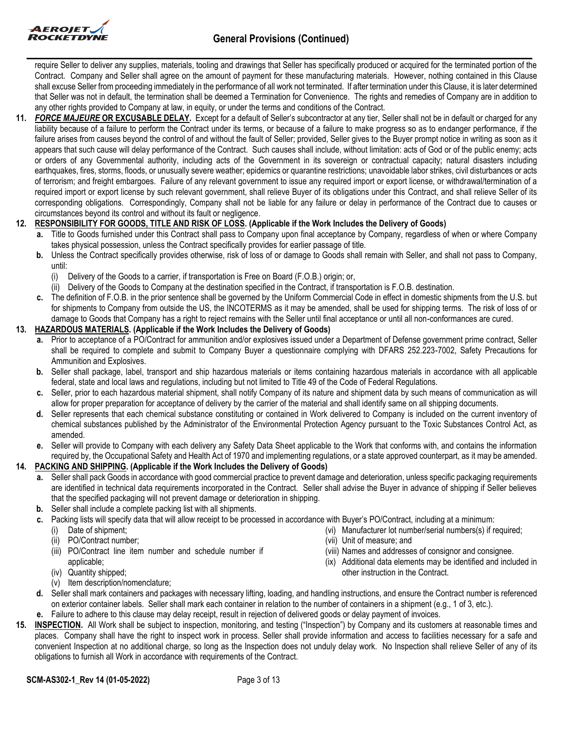

require Seller to deliver any supplies, materials, tooling and drawings that Seller has specifically produced or acquired for the terminated portion of the Contract. Company and Seller shall agree on the amount of payment for these manufacturing materials. However, nothing contained in this Clause shall excuse Seller from proceeding immediately in the performance of all work not terminated. If after termination under this Clause, it is later determined that Seller was not in default, the termination shall be deemed a Termination for Convenience. The rights and remedies of Company are in addition to any other rights provided to Company at law, in equity, or under the terms and conditions of the Contract.

**11.** *FORCE MAJEURE* **OR EXCUSABLE DELAY.** Except for a default of Seller's subcontractor at any tier, Seller shall not be in default or charged for any liability because of a failure to perform the Contract under its terms, or because of a failure to make progress so as to endanger performance, if the failure arises from causes beyond the control of and without the fault of Seller; provided, Seller gives to the Buyer prompt notice in writing as soon as it appears that such cause will delay performance of the Contract. Such causes shall include, without limitation: acts of God or of the public enemy; acts or orders of any Governmental authority, including acts of the Government in its sovereign or contractual capacity; natural disasters including earthquakes, fires, storms, floods, or unusually severe weather; epidemics or quarantine restrictions; unavoidable labor strikes, civil disturbances or acts of terrorism; and freight embargoes. Failure of any relevant government to issue any required import or export license, or withdrawal/termination of a required import or export license by such relevant government, shall relieve Buyer of its obligations under this Contract, and shall relieve Seller of its corresponding obligations. Correspondingly, Company shall not be liable for any failure or delay in performance of the Contract due to causes or circumstances beyond its control and without its fault or negligence.

## **12. RESPONSIBILITY FOR GOODS, TITLE AND RISK OF LOSS. (Applicable if the Work Includes the Delivery of Goods)**

- **a.** Title to Goods furnished under this Contract shall pass to Company upon final acceptance by Company, regardless of when or where Company takes physical possession, unless the Contract specifically provides for earlier passage of title.
	- **b.** Unless the Contract specifically provides otherwise, risk of loss of or damage to Goods shall remain with Seller, and shall not pass to Company, until:
		- (i) Delivery of the Goods to a carrier, if transportation is Free on Board (F.O.B.) origin; or,
		- (ii) Delivery of the Goods to Company at the destination specified in the Contract, if transportation is F.O.B. destination.
	- **c.** The definition of F.O.B. in the prior sentence shall be governed by the Uniform Commercial Code in effect in domestic shipments from the U.S. but for shipments to Company from outside the US, the INCOTERMS as it may be amended, shall be used for shipping terms. The risk of loss of or damage to Goods that Company has a right to reject remains with the Seller until final acceptance or until all non-conformances are cured.

### **13. HAZARDOUS MATERIALS. (Applicable if the Work Includes the Delivery of Goods)**

- **a.** Prior to acceptance of a PO/Contract for ammunition and/or explosives issued under a Department of Defense government prime contract, Seller shall be required to complete and submit to Company Buyer a questionnaire complying with DFARS 252.223-7002, Safety Precautions for Ammunition and Explosives.
- **b.** Seller shall package, label, transport and ship hazardous materials or items containing hazardous materials in accordance with all applicable federal, state and local laws and regulations, including but not limited to Title 49 of the Code of Federal Regulations.
- **c.** Seller, prior to each hazardous material shipment, shall notify Company of its nature and shipment data by such means of communication as will allow for proper preparation for acceptance of delivery by the carrier of the material and shall identify same on all shipping documents.
- **d.** Seller represents that each chemical substance constituting or contained in Work delivered to Company is included on the current inventory of chemical substances published by the Administrator of the Environmental Protection Agency pursuant to the Toxic Substances Control Act, as amended.
- **e.** Seller will provide to Company with each delivery any Safety Data Sheet applicable to the Work that conforms with, and contains the information required by, the Occupational Safety and Health Act of 1970 and implementing regulations, or a state approved counterpart, as it may be amended.

### **14. PACKING AND SHIPPING. (Applicable if the Work Includes the Delivery of Goods)**

- **a.** Seller shall pack Goods in accordance with good commercial practice to prevent damage and deterioration, unless specific packaging requirements are identified in technical data requirements incorporated in the Contract. Seller shall advise the Buyer in advance of shipping if Seller believes that the specified packaging will not prevent damage or deterioration in shipping.
- **b.** Seller shall include a complete packing list with all shipments.

**c.** Packing lists will specify data that will allow receipt to be processed in accordance with Buyer's PO/Contract, including at a minimum:

- (i) Date of shipment;
- (ii) PO/Contract number;
- (iii) PO/Contract line item number and schedule number if applicable;
- (iv) Quantity shipped;
- (v) Item description/nomenclature;
- 
- (vi) Manufacturer lot number/serial numbers(s) if required;
- (vii) Unit of measure; and
- (viii) Names and addresses of consignor and consignee.
- (ix) Additional data elements may be identified and included in other instruction in the Contract.
- **d.** Seller shall mark containers and packages with necessary lifting, loading, and handling instructions, and ensure the Contract number is referenced on exterior container labels. Seller shall mark each container in relation to the number of containers in a shipment (e.g., 1 of 3, etc.).
- **e.** Failure to adhere to this clause may delay receipt, result in rejection of delivered goods or delay payment of invoices.
- **15. INSPECTION.** All Work shall be subject to inspection, monitoring, and testing ("Inspection") by Company and its customers at reasonable times and places. Company shall have the right to inspect work in process. Seller shall provide information and access to facilities necessary for a safe and convenient Inspection at no additional charge, so long as the Inspection does not unduly delay work. No Inspection shall relieve Seller of any of its obligations to furnish all Work in accordance with requirements of the Contract.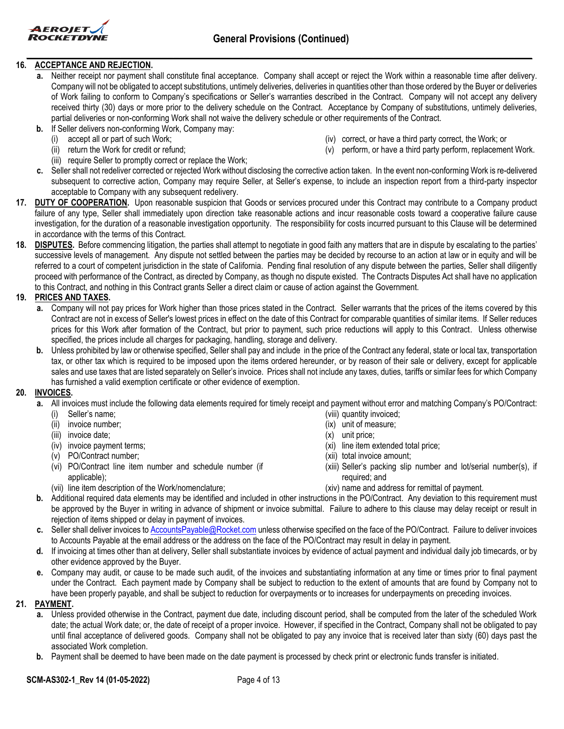

## **16. ACCEPTANCE AND REJECTION.**

- **a.** Neither receipt nor payment shall constitute final acceptance. Company shall accept or reject the Work within a reasonable time after delivery. Company will not be obligated to accept substitutions, untimely deliveries, deliveries in quantities other than those ordered by the Buyer or deliveries of Work failing to conform to Company's specifications or Seller's warranties described in the Contract. Company will not accept any delivery received thirty (30) days or more prior to the delivery schedule on the Contract. Acceptance by Company of substitutions, untimely deliveries, partial deliveries or non-conforming Work shall not waive the delivery schedule or other requirements of the Contract.
- **b.** If Seller delivers non-conforming Work, Company may:
	- accept all or part of such Work;
	- (ii) return the Work for credit or refund;
	- (iii) require Seller to promptly correct or replace the Work;
- (iv) correct, or have a third party correct, the Work; or (v) perform, or have a third party perform, replacement Work.
- **c.** Seller shall not redeliver corrected or rejected Work without disclosing the corrective action taken. In the event non-conforming Work is re-delivered subsequent to corrective action, Company may require Seller, at Seller's expense, to include an inspection report from a third-party inspector acceptable to Company with any subsequent redelivery.
- 17. **DUTY OF COOPERATION.** Upon reasonable suspicion that Goods or services procured under this Contract may contribute to a Company product failure of any type, Seller shall immediately upon direction take reasonable actions and incur reasonable costs toward a cooperative failure cause investigation, for the duration of a reasonable investigation opportunity. The responsibility for costs incurred pursuant to this Clause will be determined in accordance with the terms of this Contract.
- **18. DISPUTES.** Before commencing litigation, the parties shall attempt to negotiate in good faith any matters that are in dispute by escalating to the parties' successive levels of management. Any dispute not settled between the parties may be decided by recourse to an action at law or in equity and will be referred to a court of competent jurisdiction in the state of California. Pending final resolution of any dispute between the parties, Seller shall diligently proceed with performance of the Contract, as directed by Company, as though no dispute existed. The Contracts Disputes Act shall have no application to this Contract, and nothing in this Contract grants Seller a direct claim or cause of action against the Government.

## **19. PRICES AND TAXES.**

- **a.** Company will not pay prices for Work higher than those prices stated in the Contract. Seller warrants that the prices of the items covered by this Contract are not in excess of Seller's lowest prices in effect on the date of this Contract for comparable quantities of similar items. If Seller reduces prices for this Work after formation of the Contract, but prior to payment, such price reductions will apply to this Contract. Unless otherwise specified, the prices include all charges for packaging, handling, storage and delivery.
- **b.** Unless prohibited by law or otherwise specified, Seller shall pay and include in the price of the Contract any federal, state or local tax, transportation tax, or other tax which is required to be imposed upon the items ordered hereunder, or by reason of their sale or delivery, except for applicable sales and use taxes that are listed separately on Seller's invoice. Prices shall not include any taxes, duties, tariffs or similar fees for which Company has furnished a valid exemption certificate or other evidence of exemption.

### **20. INVOICES.**

- **a.** All invoices must include the following data elements required for timely receipt and payment without error and matching Company's PO/Contract:
	- (i) Seller's name;
	- (ii) invoice number;
	- (iii) invoice date;
	- (iv) invoice payment terms;
	- (v) PO/Contract number;
	- (vi) PO/Contract line item number and schedule number (if applicable);
	- (vii) line item description of the Work/nomenclature;
- (viii) quantity invoiced;
- (ix) unit of measure;
- (x) unit price;
- (xi) line item extended total price;
- (xii) total invoice amount;
- (xiii) Seller's packing slip number and lot/serial number(s), if required; and
- (xiv) name and address for remittal of payment.
- **b.** Additional required data elements may be identified and included in other instructions in the PO/Contract. Any deviation to this requirement must be approved by the Buyer in writing in advance of shipment or invoice submittal. Failure to adhere to this clause may delay receipt or result in rejection of items shipped or delay in payment of invoices.
- **c.** Seller shall deliver invoices to [AccountsPayable@Rocket.com](mailto:AccountsPayable@Rocket.com) unless otherwise specified on the face of the PO/Contract. Failure to deliver invoices to Accounts Payable at the email address or the address on the face of the PO/Contract may result in delay in payment.
- **d.** If invoicing at times other than at delivery, Seller shall substantiate invoices by evidence of actual payment and individual daily job timecards, or by other evidence approved by the Buyer.
- **e.** Company may audit, or cause to be made such audit, of the invoices and substantiating information at any time or times prior to final payment under the Contract. Each payment made by Company shall be subject to reduction to the extent of amounts that are found by Company not to have been properly payable, and shall be subject to reduction for overpayments or to increases for underpayments on preceding invoices.

### **21. PAYMENT.**

- **a.** Unless provided otherwise in the Contract, payment due date, including discount period, shall be computed from the later of the scheduled Work date; the actual Work date; or, the date of receipt of a proper invoice. However, if specified in the Contract, Company shall not be obligated to pay until final acceptance of delivered goods. Company shall not be obligated to pay any invoice that is received later than sixty (60) days past the associated Work completion.
- **b.** Payment shall be deemed to have been made on the date payment is processed by check print or electronic funds transfer is initiated.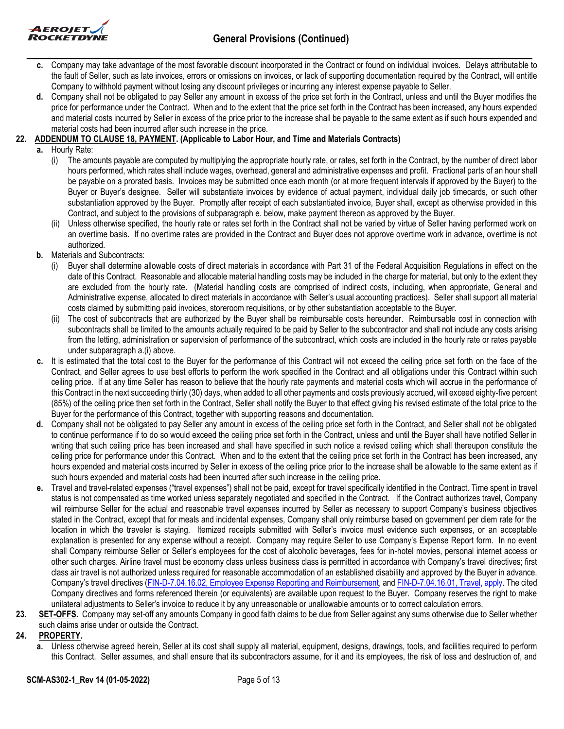

- **c.** Company may take advantage of the most favorable discount incorporated in the Contract or found on individual invoices. Delays attributable to the fault of Seller, such as late invoices, errors or omissions on invoices, or lack of supporting documentation required by the Contract, will entitle Company to withhold payment without losing any discount privileges or incurring any interest expense payable to Seller.
- **d.** Company shall not be obligated to pay Seller any amount in excess of the price set forth in the Contract, unless and until the Buyer modifies the price for performance under the Contract. When and to the extent that the price set forth in the Contract has been increased, any hours expended and material costs incurred by Seller in excess of the price prior to the increase shall be payable to the same extent as if such hours expended and material costs had been incurred after such increase in the price.

## **22. ADDENDUM TO CLAUSE 18, PAYMENT. (Applicable to Labor Hour, and Time and Materials Contracts)**

- **a.** Hourly Rate:
	- (i) The amounts payable are computed by multiplying the appropriate hourly rate, or rates, set forth in the Contract, by the number of direct labor hours performed, which rates shall include wages, overhead, general and administrative expenses and profit. Fractional parts of an hour shall be payable on a prorated basis. Invoices may be submitted once each month (or at more frequent intervals if approved by the Buyer) to the Buyer or Buyer's designee. Seller will substantiate invoices by evidence of actual payment, individual daily job timecards, or such other substantiation approved by the Buyer. Promptly after receipt of each substantiated invoice, Buyer shall, except as otherwise provided in this Contract, and subject to the provisions of subparagraph e. below, make payment thereon as approved by the Buyer.
	- (ii) Unless otherwise specified, the hourly rate or rates set forth in the Contract shall not be varied by virtue of Seller having performed work on an overtime basis. If no overtime rates are provided in the Contract and Buyer does not approve overtime work in advance, overtime is not authorized.
- **b.** Materials and Subcontracts:
	- (i) Buyer shall determine allowable costs of direct materials in accordance with Part 31 of the Federal Acquisition Regulations in effect on the date of this Contract. Reasonable and allocable material handling costs may be included in the charge for material, but only to the extent they are excluded from the hourly rate. (Material handling costs are comprised of indirect costs, including, when appropriate, General and Administrative expense, allocated to direct materials in accordance with Seller's usual accounting practices). Seller shall support all material costs claimed by submitting paid invoices, storeroom requisitions, or by other substantiation acceptable to the Buyer.
	- (ii) The cost of subcontracts that are authorized by the Buyer shall be reimbursable costs hereunder. Reimbursable cost in connection with subcontracts shall be limited to the amounts actually required to be paid by Seller to the subcontractor and shall not include any costs arising from the letting, administration or supervision of performance of the subcontract, which costs are included in the hourly rate or rates payable under subparagraph a.(i) above.
- **c.** It is estimated that the total cost to the Buyer for the performance of this Contract will not exceed the ceiling price set forth on the face of the Contract, and Seller agrees to use best efforts to perform the work specified in the Contract and all obligations under this Contract within such ceiling price. If at any time Seller has reason to believe that the hourly rate payments and material costs which will accrue in the performance of this Contract in the next succeeding thirty (30) days, when added to all other payments and costs previously accrued, will exceed eighty-five percent (85%) of the ceiling price then set forth in the Contract, Seller shall notify the Buyer to that effect giving his revised estimate of the total price to the Buyer for the performance of this Contract, together with supporting reasons and documentation.
- **d.** Company shall not be obligated to pay Seller any amount in excess of the ceiling price set forth in the Contract, and Seller shall not be obligated to continue performance if to do so would exceed the ceiling price set forth in the Contract, unless and until the Buyer shall have notified Seller in writing that such ceiling price has been increased and shall have specified in such notice a revised ceiling which shall thereupon constitute the ceiling price for performance under this Contract. When and to the extent that the ceiling price set forth in the Contract has been increased, any hours expended and material costs incurred by Seller in excess of the ceiling price prior to the increase shall be allowable to the same extent as if such hours expended and material costs had been incurred after such increase in the ceiling price.
- **e.** Travel and travel-related expenses ("travel expenses") shall not be paid, except for travel specifically identified in the Contract. Time spent in travel status is not compensated as time worked unless separately negotiated and specified in the Contract. If the Contract authorizes travel, Company will reimburse Seller for the actual and reasonable travel expenses incurred by Seller as necessary to support Company's business objectives stated in the Contract, except that for meals and incidental expenses, Company shall only reimburse based on government per diem rate for the location in which the traveler is staying. Itemized receipts submitted with Seller's invoice must evidence such expenses, or an acceptable explanation is presented for any expense without a receipt. Company may require Seller to use Company's Expense Report form. In no event shall Company reimburse Seller or Seller's employees for the cost of alcoholic beverages, fees for in-hotel movies, personal internet access or other such charges. Airline travel must be economy class unless business class is permitted in accordance with Company's travel directives; first class air travel is not authorized unless required for reasonable accommodation of an established disability and approved by the Buyer in advance. Company's travel directives [\(FIN-D-7.04.16.02, Employee Expense Reporting and Reimbursement,](http://adms.web.rocket.com/cs/idcplg?IdcService=CONTROL_CENTER&ccService=GET_FILE&Rendition=Web&noSaveAs=1&RevisionSelectionMethod=latestReleased&dDocName=FIN-D-7.04.16.02) an[d FIN-D-7.04.16.01, Travel,](http://adms.web.rocket.com/cs/idcplg?IdcService=CONTROL_CENTER&ccService=GET_FILE&Rendition=Web&noSaveAs=1&RevisionSelectionMethod=latestReleased&dDocName=FIN-D-7.04.16.01) apply. The cited Company directives and forms referenced therein (or equivalents) are available upon request to the Buyer. Company reserves the right to make unilateral adjustments to Seller's invoice to reduce it by any unreasonable or unallowable amounts or to correct calculation errors.
- **23. SET-OFFS.** Company may set-off any amounts Company in good faith claims to be due from Seller against any sums otherwise due to Seller whether such claims arise under or outside the Contract.

### **24. PROPERTY.**

**a.** Unless otherwise agreed herein, Seller at its cost shall supply all material, equipment, designs, drawings, tools, and facilities required to perform this Contract. Seller assumes, and shall ensure that its subcontractors assume, for it and its employees, the risk of loss and destruction of, and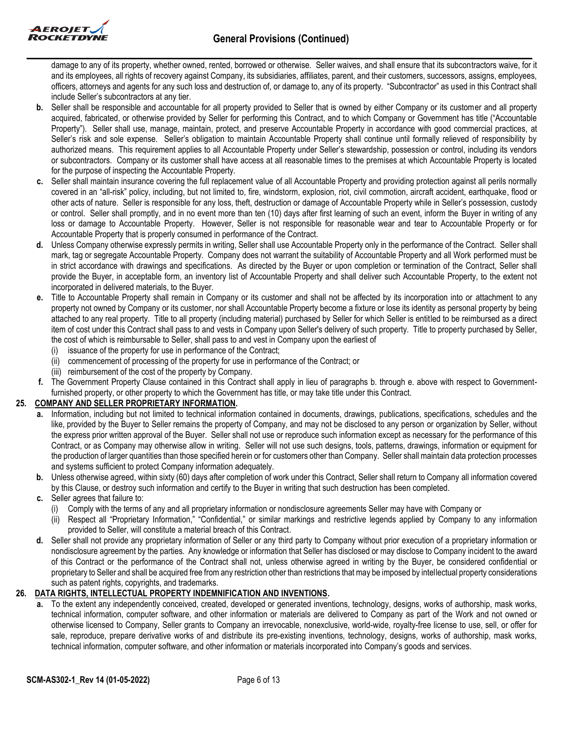

damage to any of its property, whether owned, rented, borrowed or otherwise. Seller waives, and shall ensure that its subcontractors waive, for it and its employees, all rights of recovery against Company, its subsidiaries, affiliates, parent, and their customers, successors, assigns, employees, officers, attorneys and agents for any such loss and destruction of, or damage to, any of its property. "Subcontractor" as used in this Contract shall include Seller's subcontractors at any tier.

- **b.** Seller shall be responsible and accountable for all property provided to Seller that is owned by either Company or its customer and all property acquired, fabricated, or otherwise provided by Seller for performing this Contract, and to which Company or Government has title ("Accountable Property"). Seller shall use, manage, maintain, protect, and preserve Accountable Property in accordance with good commercial practices, at Seller's risk and sole expense. Seller's obligation to maintain Accountable Property shall continue until formally relieved of responsibility by authorized means. This requirement applies to all Accountable Property under Seller's stewardship, possession or control, including its vendors or subcontractors. Company or its customer shall have access at all reasonable times to the premises at which Accountable Property is located for the purpose of inspecting the Accountable Property.
- **c.** Seller shall maintain insurance covering the full replacement value of all Accountable Property and providing protection against all perils normally covered in an "all-risk" policy, including, but not limited to, fire, windstorm, explosion, riot, civil commotion, aircraft accident, earthquake, flood or other acts of nature. Seller is responsible for any loss, theft, destruction or damage of Accountable Property while in Seller's possession, custody or control. Seller shall promptly, and in no event more than ten (10) days after first learning of such an event, inform the Buyer in writing of any loss or damage to Accountable Property. However, Seller is not responsible for reasonable wear and tear to Accountable Property or for Accountable Property that is properly consumed in performance of the Contract.
- **d.** Unless Company otherwise expressly permits in writing, Seller shall use Accountable Property only in the performance of the Contract. Seller shall mark, tag or segregate Accountable Property. Company does not warrant the suitability of Accountable Property and all Work performed must be in strict accordance with drawings and specifications. As directed by the Buyer or upon completion or termination of the Contract, Seller shall provide the Buyer, in acceptable form, an inventory list of Accountable Property and shall deliver such Accountable Property, to the extent not incorporated in delivered materials, to the Buyer.
- **e.** Title to Accountable Property shall remain in Company or its customer and shall not be affected by its incorporation into or attachment to any property not owned by Company or its customer, nor shall Accountable Property become a fixture or lose its identity as personal property by being attached to any real property. Title to all property (including material) purchased by Seller for which Seller is entitled to be reimbursed as a direct item of cost under this Contract shall pass to and vests in Company upon Seller's delivery of such property. Title to property purchased by Seller, the cost of which is reimbursable to Seller, shall pass to and vest in Company upon the earliest of
	- (i) issuance of the property for use in performance of the Contract;
	- (ii) commencement of processing of the property for use in performance of the Contract; or
	- (iii) reimbursement of the cost of the property by Company.
- **f.** The Government Property Clause contained in this Contract shall apply in lieu of paragraphs b. through e. above with respect to Governmentfurnished property, or other property to which the Government has title, or may take title under this Contract.

## **25. COMPANY AND SELLER PROPRIETARY INFORMATION.**

- **a.** Information, including but not limited to technical information contained in documents, drawings, publications, specifications, schedules and the like, provided by the Buyer to Seller remains the property of Company, and may not be disclosed to any person or organization by Seller, without the express prior written approval of the Buyer. Seller shall not use or reproduce such information except as necessary for the performance of this Contract, or as Company may otherwise allow in writing. Seller will not use such designs, tools, patterns, drawings, information or equipment for the production of larger quantities than those specified herein or for customers other than Company. Seller shall maintain data protection processes and systems sufficient to protect Company information adequately.
- **b.** Unless otherwise agreed, within sixty (60) days after completion of work under this Contract, Seller shall return to Company all information covered by this Clause, or destroy such information and certify to the Buyer in writing that such destruction has been completed.
- **c.** Seller agrees that failure to:
	- Comply with the terms of any and all proprietary information or nondisclosure agreements Seller may have with Company or
	- (ii) Respect all "Proprietary Information," "Confidential," or similar markings and restrictive legends applied by Company to any information provided to Seller, will constitute a material breach of this Contract.
- **d.** Seller shall not provide any proprietary information of Seller or any third party to Company without prior execution of a proprietary information or nondisclosure agreement by the parties. Any knowledge or information that Seller has disclosed or may disclose to Company incident to the award of this Contract or the performance of the Contract shall not, unless otherwise agreed in writing by the Buyer, be considered confidential or proprietary to Seller and shall be acquired free from any restriction other than restrictions that may be imposed by intellectual property considerations such as patent rights, copyrights, and trademarks.

## **26. DATA RIGHTS, INTELLECTUAL PROPERTY INDEMNIFICATION AND INVENTIONS.**

**a.** To the extent any independently conceived, created, developed or generated inventions, technology, designs, works of authorship, mask works, technical information, computer software, and other information or materials are delivered to Company as part of the Work and not owned or otherwise licensed to Company, Seller grants to Company an irrevocable, nonexclusive, world-wide, royalty-free license to use, sell, or offer for sale, reproduce, prepare derivative works of and distribute its pre-existing inventions, technology, designs, works of authorship, mask works, technical information, computer software, and other information or materials incorporated into Company's goods and services.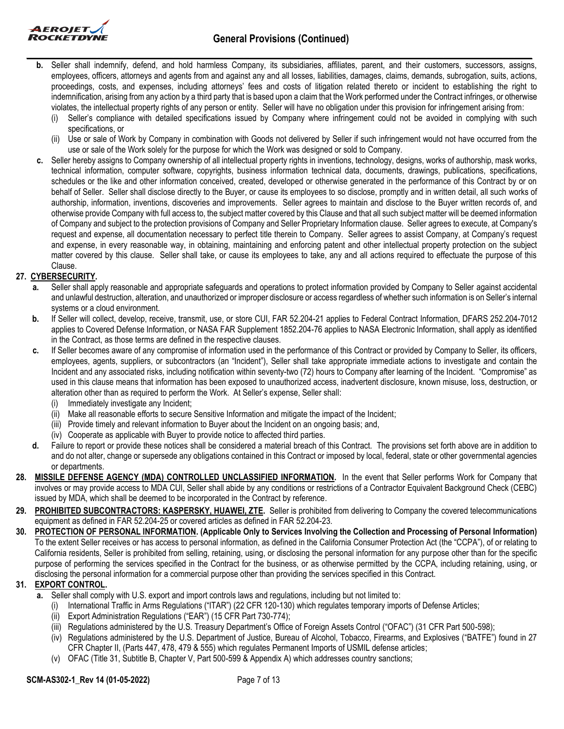

- **b.** Seller shall indemnify, defend, and hold harmless Company, its subsidiaries, affiliates, parent, and their customers, successors, assigns, employees, officers, attorneys and agents from and against any and all losses, liabilities, damages, claims, demands, subrogation, suits, actions, proceedings, costs, and expenses, including attorneys' fees and costs of litigation related thereto or incident to establishing the right to indemnification, arising from any action by a third party that is based upon a claim that the Work performed under the Contract infringes, or otherwise violates, the intellectual property rights of any person or entity. Seller will have no obligation under this provision for infringement arising from:
	- Seller's compliance with detailed specifications issued by Company where infringement could not be avoided in complying with such specifications, or
	- (ii) Use or sale of Work by Company in combination with Goods not delivered by Seller if such infringement would not have occurred from the use or sale of the Work solely for the purpose for which the Work was designed or sold to Company.
- **c.** Seller hereby assigns to Company ownership of all intellectual property rights in inventions, technology, designs, works of authorship, mask works, technical information, computer software, copyrights, business information technical data, documents, drawings, publications, specifications, schedules or the like and other information conceived, created, developed or otherwise generated in the performance of this Contract by or on behalf of Seller. Seller shall disclose directly to the Buyer, or cause its employees to so disclose, promptly and in written detail, all such works of authorship, information, inventions, discoveries and improvements. Seller agrees to maintain and disclose to the Buyer written records of, and otherwise provide Company with full access to, the subject matter covered by this Clause and that all such subject matter will be deemed information of Company and subject to the protection provisions of Company and Seller Proprietary Information clause. Seller agrees to execute, at Company's request and expense, all documentation necessary to perfect title therein to Company. Seller agrees to assist Company, at Company's request and expense, in every reasonable way, in obtaining, maintaining and enforcing patent and other intellectual property protection on the subject matter covered by this clause. Seller shall take, or cause its employees to take, any and all actions required to effectuate the purpose of this Clause.

## **27. CYBERSECURITY.**

- **a.** Seller shall apply reasonable and appropriate safeguards and operations to protect information provided by Company to Seller against accidental and unlawful destruction, alteration, and unauthorized or improper disclosure or access regardless of whether such information is on Seller's internal systems or a cloud environment.
- **b.** If Seller will collect, develop, receive, transmit, use, or store CUI, FAR 52.204-21 applies to Federal Contract Information, DFARS 252.204-7012 applies to Covered Defense Information, or NASA FAR Supplement 1852.204-76 applies to NASA Electronic Information, shall apply as identified in the Contract, as those terms are defined in the respective clauses.
- **c.** If Seller becomes aware of any compromise of information used in the performance of this Contract or provided by Company to Seller, its officers, employees, agents, suppliers, or subcontractors (an "Incident"), Seller shall take appropriate immediate actions to investigate and contain the Incident and any associated risks, including notification within seventy-two (72) hours to Company after learning of the Incident. "Compromise" as used in this clause means that information has been exposed to unauthorized access, inadvertent disclosure, known misuse, loss, destruction, or alteration other than as required to perform the Work. At Seller's expense, Seller shall:
	- (i) Immediately investigate any Incident;
	- (ii) Make all reasonable efforts to secure Sensitive Information and mitigate the impact of the Incident;
	- (iii) Provide timely and relevant information to Buyer about the Incident on an ongoing basis; and,
	- (iv) Cooperate as applicable with Buyer to provide notice to affected third parties.
- **d.** Failure to report or provide these notices shall be considered a material breach of this Contract. The provisions set forth above are in addition to and do not alter, change or supersede any obligations contained in this Contract or imposed by local, federal, state or other governmental agencies or departments.
- **28. MISSILE DEFENSE AGENCY (MDA) CONTROLLED UNCLASSIFIED INFORMATION.** In the event that Seller performs Work for Company that involves or may provide access to MDA CUI, Seller shall abide by any conditions or restrictions of a Contractor Equivalent Background Check (CEBC) issued by MDA, which shall be deemed to be incorporated in the Contract by reference.
- **29. PROHIBITED SUBCONTRACTORS: KASPERSKY, HUAWEI, ZTE.** Seller is prohibited from delivering to Company the covered telecommunications equipment as defined in FAR 52.204-25 or covered articles as defined in FAR 52.204-23.
- **30. PROTECTION OF PERSONAL INFORMATION. (Applicable Only to Services Involving the Collection and Processing of Personal Information)**  To the extent Seller receives or has access to personal information, as defined in the California Consumer Protection Act (the "CCPA"), of or relating to California residents, Seller is prohibited from selling, retaining, using, or disclosing the personal information for any purpose other than for the specific purpose of performing the services specified in the Contract for the business, or as otherwise permitted by the CCPA, including retaining, using, or disclosing the personal information for a commercial purpose other than providing the services specified in this Contract.

## **31. EXPORT CONTROL.**

- **a.** Seller shall comply with U.S. export and import controls laws and regulations, including but not limited to:
	- International Traffic in Arms Regulations ("ITAR") (22 CFR 120-130) which regulates temporary imports of Defense Articles;
	- (ii) Export Administration Regulations ("EAR") (15 CFR Part 730-774);
	- (iii) Regulations administered by the U.S. Treasury Department's Office of Foreign Assets Control ("OFAC") (31 CFR Part 500-598);
	- (iv) Regulations administered by the U.S. Department of Justice, Bureau of Alcohol, Tobacco, Firearms, and Explosives ("BATFE") found in 27 CFR Chapter II, (Parts 447, 478, 479 & 555) which regulates Permanent Imports of USMIL defense articles;
	- (v) OFAC (Title 31, Subtitle B, Chapter V, Part 500-599 & Appendix A) which addresses country sanctions;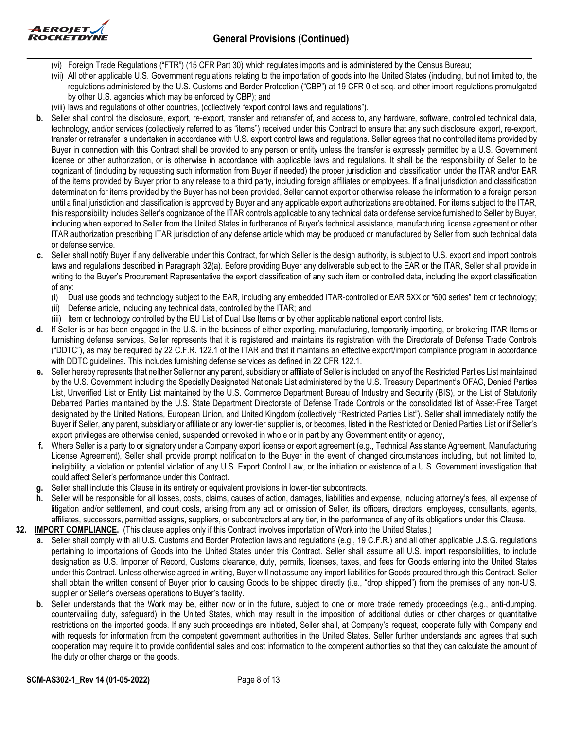



- (vi) Foreign Trade Regulations ("FTR") (15 CFR Part 30) which regulates imports and is administered by the Census Bureau;
- (vii) All other applicable U.S. Government regulations relating to the importation of goods into the United States (including, but not limited to, the regulations administered by the U.S. Customs and Border Protection ("CBP") at 19 CFR 0 et seq. and other import regulations promulgated by other U.S. agencies which may be enforced by CBP); and
- (viii) laws and regulations of other countries, (collectively "export control laws and regulations").
- **b.** Seller shall control the disclosure, export, re-export, transfer and retransfer of, and access to, any hardware, software, controlled technical data, technology, and/or services (collectively referred to as "items") received under this Contract to ensure that any such disclosure, export, re-export, transfer or retransfer is undertaken in accordance with U.S. export control laws and regulations. Seller agrees that no controlled items provided by Buyer in connection with this Contract shall be provided to any person or entity unless the transfer is expressly permitted by a U.S. Government license or other authorization, or is otherwise in accordance with applicable laws and regulations. It shall be the responsibility of Seller to be cognizant of (including by requesting such information from Buyer if needed) the proper jurisdiction and classification under the ITAR and/or EAR of the items provided by Buyer prior to any release to a third party, including foreign affiliates or employees. If a final jurisdiction and classification determination for items provided by the Buyer has not been provided, Seller cannot export or otherwise release the information to a foreign person until a final jurisdiction and classification is approved by Buyer and any applicable export authorizations are obtained. For items subject to the ITAR, this responsibility includes Seller's cognizance of the ITAR controls applicable to any technical data or defense service furnished to Seller by Buyer, including when exported to Seller from the United States in furtherance of Buyer's technical assistance, manufacturing license agreement or other ITAR authorization prescribing ITAR jurisdiction of any defense article which may be produced or manufactured by Seller from such technical data or defense service.
- **c.** Seller shall notify Buyer if any deliverable under this Contract, for which Seller is the design authority, is subject to U.S. export and import controls laws and regulations described in Paragraph 32(a). Before providing Buyer any deliverable subject to the EAR or the ITAR, Seller shall provide in writing to the Buyer's Procurement Representative the export classification of any such item or controlled data, including the export classification of any:
	- (i) Dual use goods and technology subject to the EAR, including any embedded ITAR-controlled or EAR 5XX or "600 series" item or technology;
	- (ii) Defense article, including any technical data, controlled by the ITAR; and
	- (iii) Item or technology controlled by the EU List of Dual Use Items or by other applicable national export control lists.
- **d.** If Seller is or has been engaged in the U.S. in the business of either exporting, manufacturing, temporarily importing, or brokering ITAR Items or furnishing defense services, Seller represents that it is registered and maintains its registration with the Directorate of Defense Trade Controls ("DDTC"), as may be required by 22 C.F.R. 122.1 of the ITAR and that it maintains an effective export/import compliance program in accordance with DDTC guidelines. This includes furnishing defense services as defined in 22 CFR 122.1.
- **e.** Seller hereby represents that neither Seller nor any parent, subsidiary or affiliate of Seller is included on any of the Restricted Parties List maintained by the U.S. Government including the Specially Designated Nationals List administered by the U.S. Treasury Department's OFAC, Denied Parties List, Unverified List or Entity List maintained by the U.S. Commerce Department Bureau of Industry and Security (BIS), or the List of Statutorily Debarred Parties maintained by the U.S. State Department Directorate of Defense Trade Controls or the consolidated list of Asset-Free Target designated by the United Nations, European Union, and United Kingdom (collectively "Restricted Parties List"). Seller shall immediately notify the Buyer if Seller, any parent, subsidiary or affiliate or any lower-tier supplier is, or becomes, listed in the Restricted or Denied Parties List or if Seller's export privileges are otherwise denied, suspended or revoked in whole or in part by any Government entity or agency,
- **f.** Where Seller is a party to or signatory under a Company export license or export agreement (e.g., Technical Assistance Agreement, Manufacturing License Agreement), Seller shall provide prompt notification to the Buyer in the event of changed circumstances including, but not limited to, ineligibility, a violation or potential violation of any U.S. Export Control Law, or the initiation or existence of a U.S. Government investigation that could affect Seller's performance under this Contract.
- **g.** Seller shall include this Clause in its entirety or equivalent provisions in lower-tier subcontracts.
- **h.** Seller will be responsible for all losses, costs, claims, causes of action, damages, liabilities and expense, including attorney's fees, all expense of litigation and/or settlement, and court costs, arising from any act or omission of Seller, its officers, directors, employees, consultants, agents, affiliates, successors, permitted assigns, suppliers, or subcontractors at any tier, in the performance of any of its obligations under this Clause.
- **32. IMPORT COMPLIANCE.** (This clause applies only if this Contract involves importation of Work into the United States.)
	- **a.** Seller shall comply with all U.S. Customs and Border Protection laws and regulations (e.g., 19 C.F.R.) and all other applicable U.S.G. regulations pertaining to importations of Goods into the United States under this Contract. Seller shall assume all U.S. import responsibilities, to include designation as U.S. Importer of Record, Customs clearance, duty, permits, licenses, taxes, and fees for Goods entering into the United States under this Contract. Unless otherwise agreed in writing, Buyer will not assume any import liabilities for Goods procured through this Contract. Seller shall obtain the written consent of Buyer prior to causing Goods to be shipped directly (i.e., "drop shipped") from the premises of any non-U.S. supplier or Seller's overseas operations to Buyer's facility.
	- **b.** Seller understands that the Work may be, either now or in the future, subject to one or more trade remedy proceedings (e.g., anti-dumping, countervailing duty, safeguard) in the United States, which may result in the imposition of additional duties or other charges or quantitative restrictions on the imported goods. If any such proceedings are initiated, Seller shall, at Company's request, cooperate fully with Company and with requests for information from the competent government authorities in the United States. Seller further understands and agrees that such cooperation may require it to provide confidential sales and cost information to the competent authorities so that they can calculate the amount of the duty or other charge on the goods.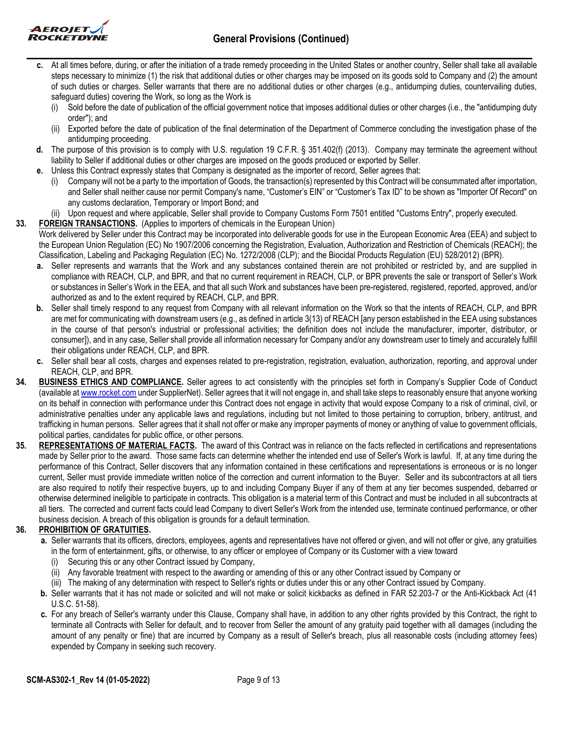

- **c.** At all times before, during, or after the initiation of a trade remedy proceeding in the United States or another country, Seller shall take all available steps necessary to minimize (1) the risk that additional duties or other charges may be imposed on its goods sold to Company and (2) the amount of such duties or charges. Seller warrants that there are no additional duties or other charges (e.g., antidumping duties, countervailing duties, safeguard duties) covering the Work, so long as the Work is
	- (i) Sold before the date of publication of the official government notice that imposes additional duties or other charges (i.e., the "antidumping duty order"); and
	- (ii) Exported before the date of publication of the final determination of the Department of Commerce concluding the investigation phase of the antidumping proceeding.
- **d.** The purpose of this provision is to comply with U.S. regulation 19 C.F.R. § 351.402(f) (2013). Company may terminate the agreement without liability to Seller if additional duties or other charges are imposed on the goods produced or exported by Seller.
- **e.** Unless this Contract expressly states that Company is designated as the importer of record, Seller agrees that:
	- (i) Company will not be a party to the importation of Goods, the transaction(s) represented by this Contract will be consummated after importation, and Seller shall neither cause nor permit Company's name, "Customer's EIN" or "Customer's Tax ID" to be shown as "Importer Of Record" on any customs declaration, Temporary or Import Bond; and
- (ii) Upon request and where applicable, Seller shall provide to Company Customs Form 7501 entitled "Customs Entry", properly executed.
- **33. FOREIGN TRANSACTIONS.** (Applies to importers of chemicals in the European Union)
	- Work delivered by Seller under this Contract may be incorporated into deliverable goods for use in the European Economic Area (EEA) and subject to the European Union Regulation (EC) No 1907/2006 concerning the Registration, Evaluation, Authorization and Restriction of Chemicals (REACH); the Classification, Labeling and Packaging Regulation (EC) No. 1272/2008 (CLP); and the Biocidal Products Regulation (EU) 528/2012) (BPR).
		- **a.** Seller represents and warrants that the Work and any substances contained therein are not prohibited or restricted by, and are supplied in compliance with REACH, CLP, and BPR, and that no current requirement in REACH, CLP, or BPR prevents the sale or transport of Seller's Work or substances in Seller's Work in the EEA, and that all such Work and substances have been pre-registered, registered, reported, approved, and/or authorized as and to the extent required by REACH, CLP, and BPR.
		- **b.** Seller shall timely respond to any request from Company with all relevant information on the Work so that the intents of REACH, CLP, and BPR are met for communicating with downstream users (e.g., as defined in article 3(13) of REACH [any person established in the EEA using substances in the course of that person's industrial or professional activities; the definition does not include the manufacturer, importer, distributor, or consumer]), and in any case, Seller shall provide all information necessary for Company and/or any downstream user to timely and accurately fulfill their obligations under REACH, CLP, and BPR.
		- **c.** Seller shall bear all costs, charges and expenses related to pre-registration, registration, evaluation, authorization, reporting, and approval under REACH, CLP, and BPR.
- **34. BUSINESS ETHICS AND COMPLIANCE.** Seller agrees to act consistently with the principles set forth in Company's Supplier Code of Conduct (available at [www.rocket.com](http://www.rocket.com/) under SupplierNet). Seller agrees that it will not engage in, and shall take steps to reasonably ensure that anyone working on its behalf in connection with performance under this Contract does not engage in activity that would expose Company to a risk of criminal, civil, or administrative penalties under any applicable laws and regulations, including but not limited to those pertaining to corruption, bribery, antitrust, and trafficking in human persons. Seller agrees that it shall not offer or make any improper payments of money or anything of value to government officials, political parties, candidates for public office, or other persons.
- **35. REPRESENTATIONS OF MATERIAL FACTS.** The award of this Contract was in reliance on the facts reflected in certifications and representations made by Seller prior to the award. Those same facts can determine whether the intended end use of Seller's Work is lawful. If, at any time during the performance of this Contract, Seller discovers that any information contained in these certifications and representations is erroneous or is no longer current, Seller must provide immediate written notice of the correction and current information to the Buyer. Seller and its subcontractors at all tiers are also required to notify their respective buyers, up to and including Company Buyer if any of them at any tier becomes suspended, debarred or otherwise determined ineligible to participate in contracts. This obligation is a material term of this Contract and must be included in all subcontracts at all tiers. The corrected and current facts could lead Company to divert Seller's Work from the intended use, terminate continued performance, or other business decision. A breach of this obligation is grounds for a default termination.

## **36. PROHIBITION OF GRATUITIES.**

- **a.** Seller warrants that its officers, directors, employees, agents and representatives have not offered or given, and will not offer or give, any gratuities in the form of entertainment, gifts, or otherwise, to any officer or employee of Company or its Customer with a view toward
	- (i) Securing this or any other Contract issued by Company,
	- (ii) Any favorable treatment with respect to the awarding or amending of this or any other Contract issued by Company or
	- (iii) The making of any determination with respect to Seller's rights or duties under this or any other Contract issued by Company.
- **b.** Seller warrants that it has not made or solicited and will not make or solicit kickbacks as defined in FAR 52.203-7 or the Anti-Kickback Act (41 U.S.C. 51-58).
- **c.** For any breach of Seller's warranty under this Clause, Company shall have, in addition to any other rights provided by this Contract, the right to terminate all Contracts with Seller for default, and to recover from Seller the amount of any gratuity paid together with all damages (including the amount of any penalty or fine) that are incurred by Company as a result of Seller's breach, plus all reasonable costs (including attorney fees) expended by Company in seeking such recovery.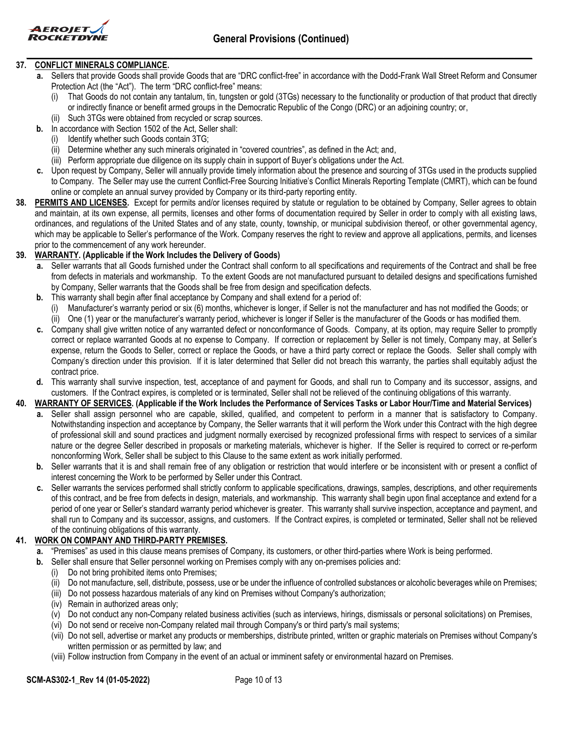

## **37. CONFLICT MINERALS COMPLIANCE.**

- **a.** Sellers that provide Goods shall provide Goods that are "DRC conflict-free" in accordance with the Dodd-Frank Wall Street Reform and Consumer Protection Act (the "Act"). The term "DRC conflict-free" means:
	- (i) That Goods do not contain any tantalum, tin, tungsten or gold (3TGs) necessary to the functionality or production of that product that directly or indirectly finance or benefit armed groups in the Democratic Republic of the Congo (DRC) or an adjoining country; or,
	- (ii) Such 3TGs were obtained from recycled or scrap sources.
- **b.** In accordance with Section 1502 of the Act, Seller shall:
	- (i) Identify whether such Goods contain 3TG;
	- (ii) Determine whether any such minerals originated in "covered countries", as defined in the Act; and,
	- (iii) Perform appropriate due diligence on its supply chain in support of Buyer's obligations under the Act.
- **c.** Upon request by Company, Seller will annually provide timely information about the presence and sourcing of 3TGs used in the products supplied to Company. The Seller may use the current Conflict-Free Sourcing Initiative's Conflict Minerals Reporting Template (CMRT), which can be found online or complete an annual survey provided by Company or its third-party reporting entity.
- **38. PERMITS AND LICENSES.** Except for permits and/or licenses required by statute or regulation to be obtained by Company, Seller agrees to obtain and maintain, at its own expense, all permits, licenses and other forms of documentation required by Seller in order to comply with all existing laws, ordinances, and regulations of the United States and of any state, county, township, or municipal subdivision thereof, or other governmental agency, which may be applicable to Seller's performance of the Work. Company reserves the right to review and approve all applications, permits, and licenses prior to the commencement of any work hereunder.

### **39. WARRANTY. (Applicable if the Work Includes the Delivery of Goods)**

- **a.** Seller warrants that all Goods furnished under the Contract shall conform to all specifications and requirements of the Contract and shall be free from defects in materials and workmanship. To the extent Goods are not manufactured pursuant to detailed designs and specifications furnished by Company, Seller warrants that the Goods shall be free from design and specification defects.
- **b.** This warranty shall begin after final acceptance by Company and shall extend for a period of:
	- Manufacturer's warranty period or six (6) months, whichever is longer, if Seller is not the manufacturer and has not modified the Goods; or (ii) One (1) year or the manufacturer's warranty period, whichever is longer if Seller is the manufacturer of the Goods or has modified them.
- **c.** Company shall give written notice of any warranted defect or nonconformance of Goods. Company, at its option, may require Seller to promptly correct or replace warranted Goods at no expense to Company. If correction or replacement by Seller is not timely, Company may, at Seller's expense, return the Goods to Seller, correct or replace the Goods, or have a third party correct or replace the Goods. Seller shall comply with Company's direction under this provision. If it is later determined that Seller did not breach this warranty, the parties shall equitably adjust the contract price.
- **d.** This warranty shall survive inspection, test, acceptance of and payment for Goods, and shall run to Company and its successor, assigns, and customers. If the Contract expires, is completed or is terminated, Seller shall not be relieved of the continuing obligations of this warranty.

### **40. WARRANTY OF SERVICES. (Applicable if the Work Includes the Performance of Services Tasks or Labor Hour/Time and Material Services)**

- **a.** Seller shall assign personnel who are capable, skilled, qualified, and competent to perform in a manner that is satisfactory to Company. Notwithstanding inspection and acceptance by Company, the Seller warrants that it will perform the Work under this Contract with the high degree of professional skill and sound practices and judgment normally exercised by recognized professional firms with respect to services of a similar nature or the degree Seller described in proposals or marketing materials, whichever is higher. If the Seller is required to correct or re-perform nonconforming Work, Seller shall be subject to this Clause to the same extent as work initially performed.
- **b.** Seller warrants that it is and shall remain free of any obligation or restriction that would interfere or be inconsistent with or present a conflict of interest concerning the Work to be performed by Seller under this Contract.
- **c.** Seller warrants the services performed shall strictly conform to applicable specifications, drawings, samples, descriptions, and other requirements of this contract, and be free from defects in design, materials, and workmanship. This warranty shall begin upon final acceptance and extend for a period of one year or Seller's standard warranty period whichever is greater. This warranty shall survive inspection, acceptance and payment, and shall run to Company and its successor, assigns, and customers. If the Contract expires, is completed or terminated, Seller shall not be relieved of the continuing obligations of this warranty.

## **41. WORK ON COMPANY AND THIRD-PARTY PREMISES.**

- **a.** "Premises" as used in this clause means premises of Company, its customers, or other third-parties where Work is being performed.
- **b.** Seller shall ensure that Seller personnel working on Premises comply with any on-premises policies and:
	- (i) Do not bring prohibited items onto Premises;
		- (ii) Do not manufacture, sell, distribute, possess, use or be under the influence of controlled substances or alcoholic beverages while on Premises;
		- (iii) Do not possess hazardous materials of any kind on Premises without Company's authorization;
		- (iv) Remain in authorized areas only;
		- (v) Do not conduct any non-Company related business activities (such as interviews, hirings, dismissals or personal solicitations) on Premises,
		- (vi) Do not send or receive non-Company related mail through Company's or third party's mail systems;
		- (vii) Do not sell, advertise or market any products or memberships, distribute printed, written or graphic materials on Premises without Company's written permission or as permitted by law; and
		- (viii) Follow instruction from Company in the event of an actual or imminent safety or environmental hazard on Premises.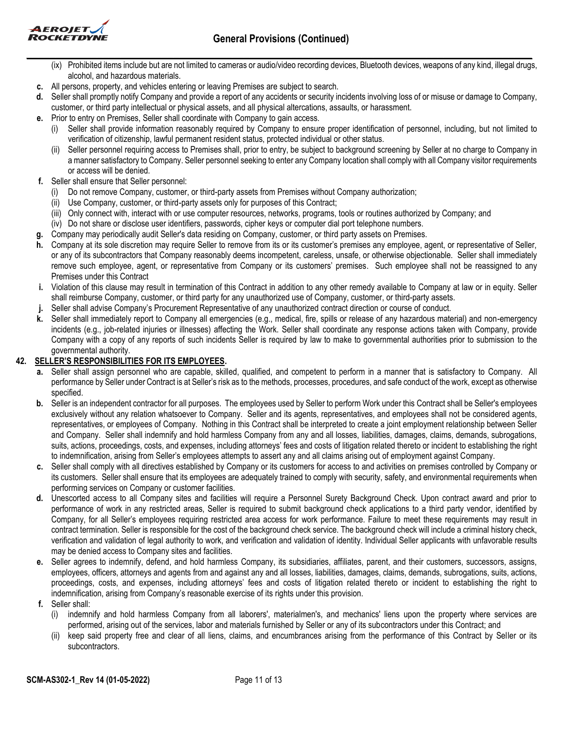



- (ix) Prohibited items include but are not limited to cameras or audio/video recording devices, Bluetooth devices, weapons of any kind, illegal drugs, alcohol, and hazardous materials.
- **c.** All persons, property, and vehicles entering or leaving Premises are subject to search.
- **d.** Seller shall promptly notify Company and provide a report of any accidents or security incidents involving loss of or misuse or damage to Company, customer, or third party intellectual or physical assets, and all physical altercations, assaults, or harassment.
- **e.** Prior to entry on Premises, Seller shall coordinate with Company to gain access.
	- Seller shall provide information reasonably required by Company to ensure proper identification of personnel, including, but not limited to verification of citizenship, lawful permanent resident status, protected individual or other status.
	- (ii) Seller personnel requiring access to Premises shall, prior to entry, be subject to background screening by Seller at no charge to Company in a manner satisfactory to Company. Seller personnel seeking to enter any Company location shall comply with all Company visitor requirements or access will be denied.
- **f.** Seller shall ensure that Seller personnel:
	- (i) Do not remove Company, customer, or third-party assets from Premises without Company authorization;
	- (ii) Use Company, customer, or third-party assets only for purposes of this Contract;
	- (iii) Only connect with, interact with or use computer resources, networks, programs, tools or routines authorized by Company; and
- (iv) Do not share or disclose user identifiers, passwords, cipher keys or computer dial port telephone numbers.
- **g.** Company may periodically audit Seller's data residing on Company, customer, or third party assets on Premises.
- **h.** Company at its sole discretion may require Seller to remove from its or its customer's premises any employee, agent, or representative of Seller, or any of its subcontractors that Company reasonably deems incompetent, careless, unsafe, or otherwise objectionable. Seller shall immediately remove such employee, agent, or representative from Company or its customers' premises. Such employee shall not be reassigned to any Premises under this Contract
- **i.** Violation of this clause may result in termination of this Contract in addition to any other remedy available to Company at law or in equity. Seller shall reimburse Company, customer, or third party for any unauthorized use of Company, customer, or third-party assets.
- **j.** Seller shall advise Company's Procurement Representative of any unauthorized contract direction or course of conduct.
- **k.** Seller shall immediately report to Company all emergencies (e.g., medical, fire, spills or release of any hazardous material) and non-emergency incidents (e.g., job-related injuries or illnesses) affecting the Work. Seller shall coordinate any response actions taken with Company, provide Company with a copy of any reports of such incidents Seller is required by law to make to governmental authorities prior to submission to the governmental authority.

## **42. SELLER'S RESPONSIBILITIES FOR ITS EMPLOYEES.**

- **a.** Seller shall assign personnel who are capable, skilled, qualified, and competent to perform in a manner that is satisfactory to Company. All performance by Seller under Contract is at Seller's risk as to the methods, processes, procedures, and safe conduct of the work, except as otherwise specified.
- **b.** Seller is an independent contractor for all purposes. The employees used by Seller to perform Work under this Contract shall be Seller's employees exclusively without any relation whatsoever to Company. Seller and its agents, representatives, and employees shall not be considered agents, representatives, or employees of Company. Nothing in this Contract shall be interpreted to create a joint employment relationship between Seller and Company. Seller shall indemnify and hold harmless Company from any and all losses, liabilities, damages, claims, demands, subrogations, suits, actions, proceedings, costs, and expenses, including attorneys' fees and costs of litigation related thereto or incident to establishing the right to indemnification, arising from Seller's employees attempts to assert any and all claims arising out of employment against Company.
- **c.** Seller shall comply with all directives established by Company or its customers for access to and activities on premises controlled by Company or its customers. Seller shall ensure that its employees are adequately trained to comply with security, safety, and environmental requirements when performing services on Company or customer facilities.
- **d.** Unescorted access to all Company sites and facilities will require a Personnel Surety Background Check. Upon contract award and prior to performance of work in any restricted areas, Seller is required to submit background check applications to a third party vendor, identified by Company, for all Seller's employees requiring restricted area access for work performance. Failure to meet these requirements may result in contract termination. Seller is responsible for the cost of the background check service. The background check will include a criminal history check, verification and validation of legal authority to work, and verification and validation of identity. Individual Seller applicants with unfavorable results may be denied access to Company sites and facilities.
- **e.** Seller agrees to indemnify, defend, and hold harmless Company, its subsidiaries, affiliates, parent, and their customers, successors, assigns, employees, officers, attorneys and agents from and against any and all losses, liabilities, damages, claims, demands, subrogations, suits, actions, proceedings, costs, and expenses, including attorneys' fees and costs of litigation related thereto or incident to establishing the right to indemnification, arising from Company's reasonable exercise of its rights under this provision.
- **f.** Seller shall:
	- (i) indemnify and hold harmless Company from all laborers', materialmen's, and mechanics' liens upon the property where services are performed, arising out of the services, labor and materials furnished by Seller or any of its subcontractors under this Contract; and
	- (ii) keep said property free and clear of all liens, claims, and encumbrances arising from the performance of this Contract by Seller or its subcontractors.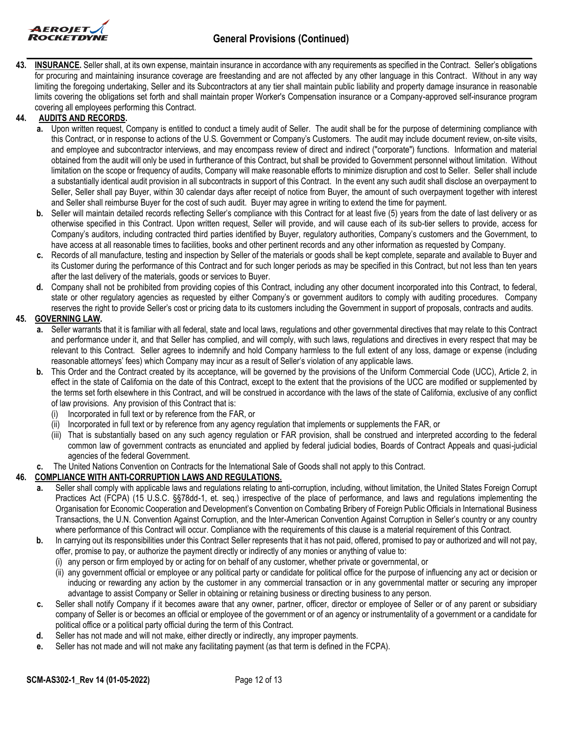

**43. INSURANCE.** Seller shall, at its own expense, maintain insurance in accordance with any requirements as specified in the Contract. Seller's obligations for procuring and maintaining insurance coverage are freestanding and are not affected by any other language in this Contract. Without in any way limiting the foregoing undertaking, Seller and its Subcontractors at any tier shall maintain public liability and property damage insurance in reasonable limits covering the obligations set forth and shall maintain proper Worker's Compensation insurance or a Company-approved self-insurance program covering all employees performing this Contract.

### **44. AUDITS AND RECORDS.**

- **a.** Upon written request, Company is entitled to conduct a timely audit of Seller. The audit shall be for the purpose of determining compliance with this Contract, or in response to actions of the U.S. Government or Company's Customers. The audit may include document review, on-site visits, and employee and subcontractor interviews, and may encompass review of direct and indirect ("corporate") functions. Information and material obtained from the audit will only be used in furtherance of this Contract, but shall be provided to Government personnel without limitation. Without limitation on the scope or frequency of audits, Company will make reasonable efforts to minimize disruption and cost to Seller. Seller shall include a substantially identical audit provision in all subcontracts in support of this Contract. In the event any such audit shall disclose an overpayment to Seller, Seller shall pay Buyer, within 30 calendar days after receipt of notice from Buyer, the amount of such overpayment together with interest and Seller shall reimburse Buyer for the cost of such audit. Buyer may agree in writing to extend the time for payment.
- **b.** Seller will maintain detailed records reflecting Seller's compliance with this Contract for at least five (5) years from the date of last delivery or as otherwise specified in this Contract. Upon written request, Seller will provide, and will cause each of its sub-tier sellers to provide, access for Company's auditors, including contracted third parties identified by Buyer, regulatory authorities, Company's customers and the Government, to have access at all reasonable times to facilities, books and other pertinent records and any other information as requested by Company.
- **c.** Records of all manufacture, testing and inspection by Seller of the materials or goods shall be kept complete, separate and available to Buyer and its Customer during the performance of this Contract and for such longer periods as may be specified in this Contract, but not less than ten years after the last delivery of the materials, goods or services to Buyer.
- **d.** Company shall not be prohibited from providing copies of this Contract, including any other document incorporated into this Contract, to federal, state or other regulatory agencies as requested by either Company's or government auditors to comply with auditing procedures. Company reserves the right to provide Seller's cost or pricing data to its customers including the Government in support of proposals, contracts and audits.

## **45. GOVERNING LAW.**

- **a.** Seller warrants that it is familiar with all federal, state and local laws, regulations and other governmental directives that may relate to this Contract and performance under it, and that Seller has complied, and will comply, with such laws, regulations and directives in every respect that may be relevant to this Contract. Seller agrees to indemnify and hold Company harmless to the full extent of any loss, damage or expense (including reasonable attorneys' fees) which Company may incur as a result of Seller's violation of any applicable laws.
- **b.** This Order and the Contract created by its acceptance, will be governed by the provisions of the Uniform Commercial Code (UCC), Article 2, in effect in the state of California on the date of this Contract, except to the extent that the provisions of the UCC are modified or supplemented by the terms set forth elsewhere in this Contract, and will be construed in accordance with the laws of the state of California, exclusive of any conflict of law provisions. Any provision of this Contract that is:
	- (i) Incorporated in full text or by reference from the FAR, or
	- (ii) Incorporated in full text or by reference from any agency regulation that implements or supplements the FAR, or
	- (iii) That is substantially based on any such agency regulation or FAR provision, shall be construed and interpreted according to the federal common law of government contracts as enunciated and applied by federal judicial bodies, Boards of Contract Appeals and quasi-judicial agencies of the federal Government.
- **c.** The United Nations Convention on Contracts for the International Sale of Goods shall not apply to this Contract.

### **46. COMPLIANCE WITH ANTI-CORRUPTION LAWS AND REGULATIONS.**

- **a.** Seller shall comply with applicable laws and regulations relating to anti-corruption, including, without limitation, the United States Foreign Corrupt Practices Act (FCPA) (15 U.S.C. §§78dd-1, et. seq.) irrespective of the place of performance, and laws and regulations implementing the Organisation for Economic Cooperation and Development's Convention on Combating Bribery of Foreign Public Officials in International Business Transactions, the U.N. Convention Against Corruption, and the Inter-American Convention Against Corruption in Seller's country or any country where performance of this Contract will occur. Compliance with the requirements of this clause is a material requirement of this Contract.
- **b.** In carrying out its responsibilities under this Contract Seller represents that it has not paid, offered, promised to pay or authorized and will not pay, offer, promise to pay, or authorize the payment directly or indirectly of any monies or anything of value to:
	- (i) any person or firm employed by or acting for on behalf of any customer, whether private or governmental, or
	- (ii) any government official or employee or any political party or candidate for political office for the purpose of influencing any act or decision or inducing or rewarding any action by the customer in any commercial transaction or in any governmental matter or securing any improper advantage to assist Company or Seller in obtaining or retaining business or directing business to any person.
- **c.** Seller shall notify Company if it becomes aware that any owner, partner, officer, director or employee of Seller or of any parent or subsidiary company of Seller is or becomes an official or employee of the government or of an agency or instrumentality of a government or a candidate for political office or a political party official during the term of this Contract.
- **d.** Seller has not made and will not make, either directly or indirectly, any improper payments.
- **e.** Seller has not made and will not make any facilitating payment (as that term is defined in the FCPA).